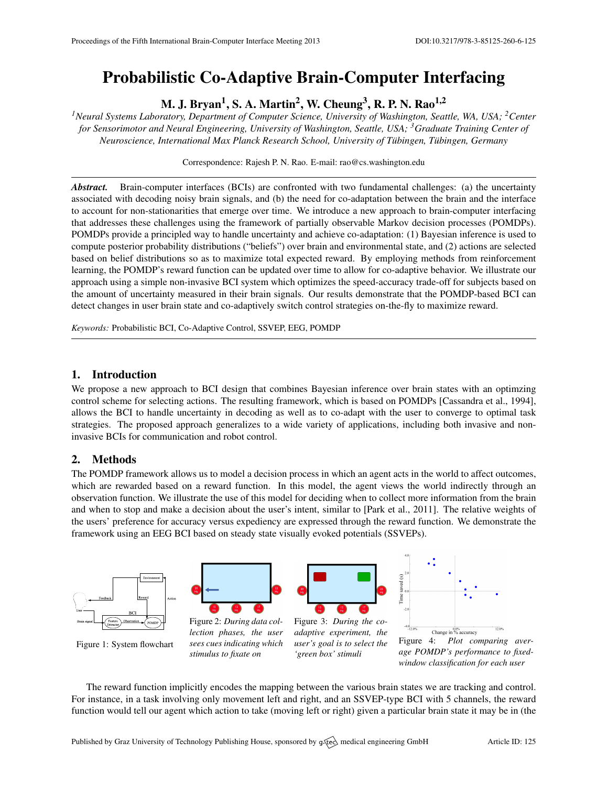# Probabilistic Co-Adaptive Brain-Computer Interfacing

M. J. Bryan $^1$ , S. A. Martin $^2$ , W. Cheung $^3$ , R. P. N. Rao $^{1,2}$ 

*<sup>1</sup>Neural Systems Laboratory, Department of Computer Science, University of Washington, Seattle, WA, USA; <sup>2</sup>Center for Sensorimotor and Neural Engineering, University of Washington, Seattle, USA; <sup>3</sup>Graduate Training Center of Neuroscience, International Max Planck Research School, University of Tübingen, Tübingen, Germany* 

Correspondence: Rajesh P. N. Rao. E-mail: [rao@cs.washington.edu](mailto:rao@cs.washington.edu)

*Abstract.* Brain-computer interfaces (BCIs) are confronted with two fundamental challenges: (a) the uncertainty associated with decoding noisy brain signals, and (b) the need for co-adaptation between the brain and the interface to account for non-stationarities that emerge over time. We introduce a new approach to brain-computer interfacing that addresses these challenges using the framework of partially observable Markov decision processes (POMDPs). POMDPs provide a principled way to handle uncertainty and achieve co-adaptation: (1) Bayesian inference is used to compute posterior probability distributions ("beliefs") over brain and environmental state, and (2) actions are selected based on belief distributions so as to maximize total expected reward. By employing methods from reinforcement learning, the POMDP's reward function can be updated over time to allow for co-adaptive behavior. We illustrate our approach using a simple non-invasive BCI system which optimizes the speed-accuracy trade-off for subjects based on the amount of uncertainty measured in their brain signals. Our results demonstrate that the POMDP-based BCI can detect changes in user brain state and co-adaptively switch control strategies on-the-fly to maximize reward.

*Keywords:* Probabilistic BCI, Co-Adaptive Control, SSVEP, EEG, POMDP

### 1. Introduction

We propose a new approach to BCI design that combines Bayesian inference over brain states with an optimzing control scheme for selecting actions. The resulting framework, which is based on POMDPs [\[Cassandra et al.,](#page-1-0) [1994\]](#page-1-0), allows the BCI to handle uncertainty in decoding as well as to co-adapt with the user to converge to optimal task strategies. The proposed approach generalizes to a wide variety of applications, including both invasive and noninvasive BCIs for communication and robot control.

## 2. Methods

The POMDP framework allows us to model a decision process in which an agent acts in the world to affect outcomes, which are rewarded based on a reward function. In this model, the agent views the world indirectly through an observation function. We illustrate the use of this model for deciding when to collect more information from the brain and when to stop and make a decision about the user's intent, similar to [\[Park et al.,](#page-1-1) [2011\]](#page-1-1). The relative weights of the users' preference for accuracy versus expediency are expressed through the reward function. We demonstrate the framework using an EEG BCI based on steady state visually evoked potentials (SSVEPs).

<span id="page-0-0"></span>

The reward function implicitly encodes the mapping between the various brain states we are tracking and control. For instance, in a task involving only movement left and right, and an SSVEP-type BCI with 5 channels, the reward function would tell our agent which action to take (moving left or right) given a particular brain state it may be in (the